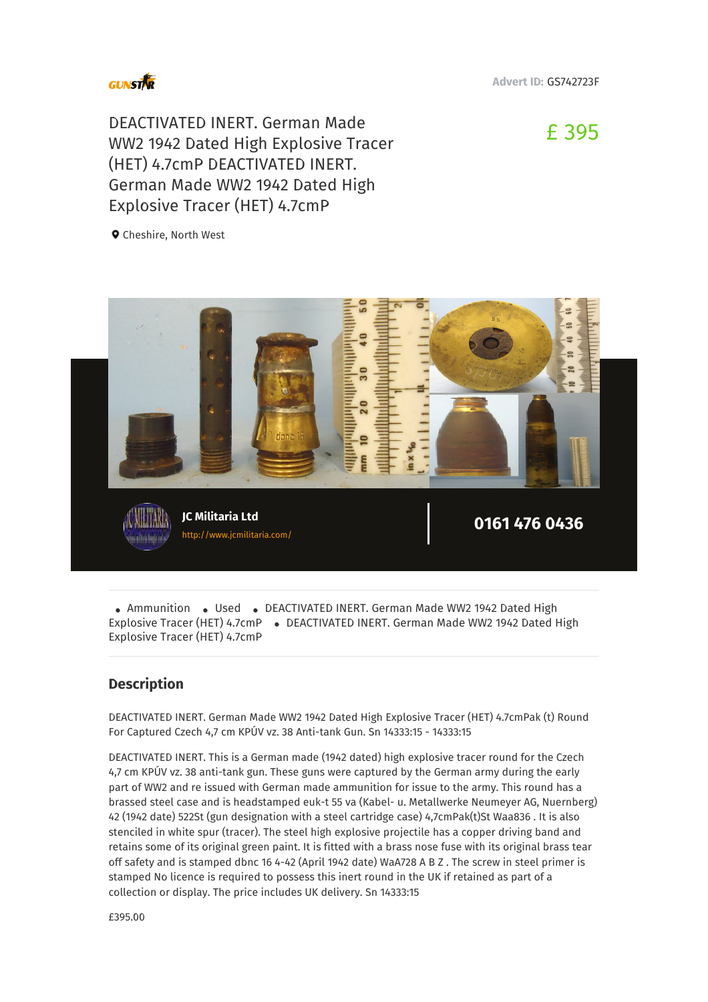

**Advert ID:** GS742723F

DEACTIVATED INERT. German Made WW2 1942 Dated High Explosive Tracer (HET) 4.7cmP DEACTIVATED INERT. German Made WW2 1942 Dated High Explosive Tracer (HET) 4.7cmP

£ 395

**Q** Cheshire, North West



•<br>xp .<br>Ammunition • Used • DEACTIVATED INERT. German Made WW2 1942 Dated High<br>losive Tracer (HET) 4.7cmP • DEACTIVATED INERT. German Made WW2 1942 Dated H Explosive Tracer (HET) 4.7cmP · DEACTIVATED INERT. German Made WW2 1942 Dated High Explosive Tracer (HET) 4.7cmP

## **Description**

DEACTIVATED INERT. German Made WW2 1942 Dated High Explosive Tracer (HET) 4.7cmPak (t) Round For Captured Czech 4,7 cm KPÚV vz. 38 Anti-tank Gun. Sn 14333:15 - 14333:15

DEACTIVATED INERT. This is a German made (1942 dated) high explosive tracer round for the Czech 4,7 cm KPÚV vz. 38 anti-tank gun. These guns were captured by the German army during the early part of WW2 and re issued with German made ammunition for issue to the army. This round has a brassed steel case and is headstamped euk-t 55 va (Kabel- u. Metallwerke Neumeyer AG, Nuernberg) 42 (1942 date) 522St (gun designation with a steel cartridge case) 4,7cmPak(t)St Waa836 . It is also stenciled in white spur (tracer). The steel high explosive projectile has a copper driving band and retains some of its original green paint. It is fitted with a brass nose fuse with its original brass tear off safety and is stamped dbnc 16 4-42 (April 1942 date) WaA728 A B Z . The screw in steel primer is stamped No licence is required to possess this inert round in the UK if retained as part of a collection or display. The price includes UK delivery. Sn 14333:15